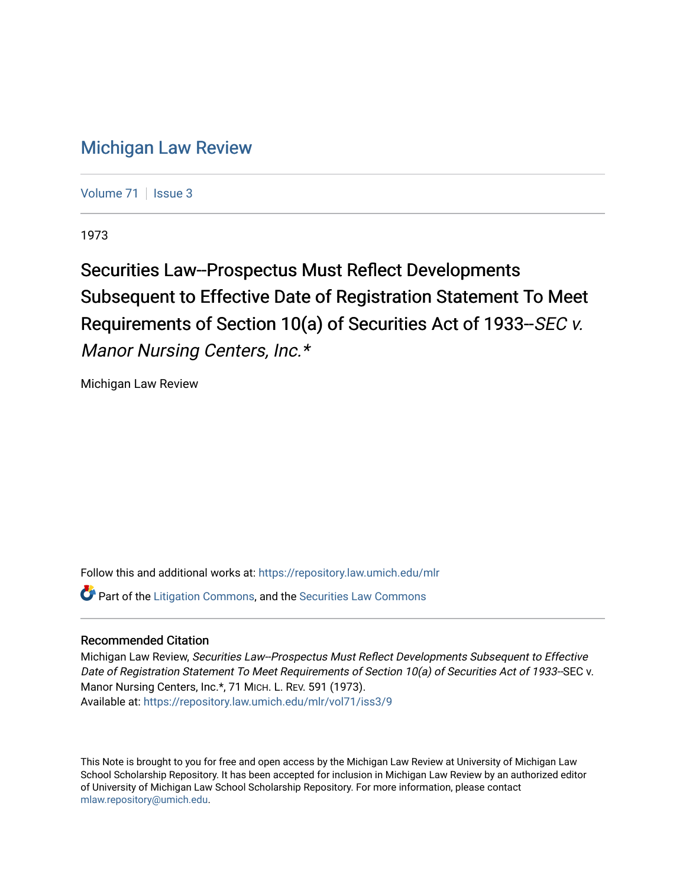# [Michigan Law Review](https://repository.law.umich.edu/mlr)

[Volume 71](https://repository.law.umich.edu/mlr/vol71) | [Issue 3](https://repository.law.umich.edu/mlr/vol71/iss3)

1973

# Securities Law--Prospectus Must Reflect Developments Subsequent to Effective Date of Registration Statement To Meet Requirements of Section 10(a) of Securities Act of 1933--SEC v. Manor Nursing Centers, Inc.\*

Michigan Law Review

Follow this and additional works at: [https://repository.law.umich.edu/mlr](https://repository.law.umich.edu/mlr?utm_source=repository.law.umich.edu%2Fmlr%2Fvol71%2Fiss3%2F9&utm_medium=PDF&utm_campaign=PDFCoverPages) 

**C** Part of the [Litigation Commons](http://network.bepress.com/hgg/discipline/910?utm_source=repository.law.umich.edu%2Fmlr%2Fvol71%2Fiss3%2F9&utm_medium=PDF&utm_campaign=PDFCoverPages), and the Securities Law Commons

# Recommended Citation

Michigan Law Review, Securities Law--Prospectus Must Reflect Developments Subsequent to Effective Date of Registration Statement To Meet Requirements of Section 10(a) of Securities Act of 1933--SEC v. Manor Nursing Centers, Inc.\*, 71 MICH. L. REV. 591 (1973). Available at: [https://repository.law.umich.edu/mlr/vol71/iss3/9](https://repository.law.umich.edu/mlr/vol71/iss3/9?utm_source=repository.law.umich.edu%2Fmlr%2Fvol71%2Fiss3%2F9&utm_medium=PDF&utm_campaign=PDFCoverPages)

This Note is brought to you for free and open access by the Michigan Law Review at University of Michigan Law School Scholarship Repository. It has been accepted for inclusion in Michigan Law Review by an authorized editor of University of Michigan Law School Scholarship Repository. For more information, please contact [mlaw.repository@umich.edu.](mailto:mlaw.repository@umich.edu)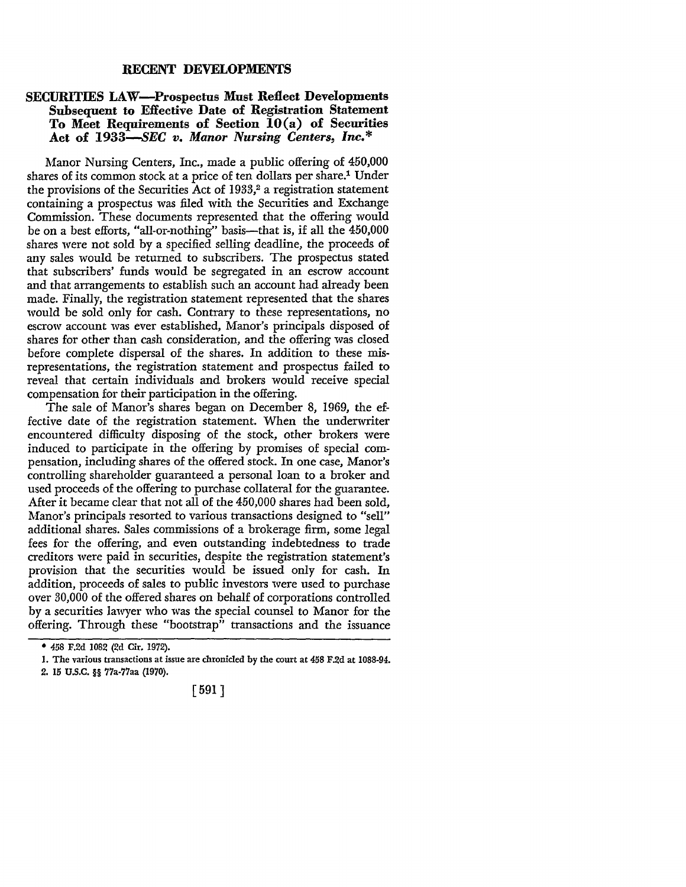#### **RECENT DEVELOPMENTS**

### **SECURITIES LAW-Prospectus Must Reflect Developments Subsequent to Effective Date of Registration Statement To Meet Requirements of Section IO(a) of Securities Act of 1933-SEC** *v. Manor Nursing Centers, Inc.\**

Manor Nursing Centers, Inc., made a public offering of 450,000 shares of its common stock at a price of ten dollars per share.<sup>1</sup> Under the provisions of the Securities Act of  $1933$ ,<sup>2</sup> a registration statement containing a prospectus was filed with the Securities and Exchange Commission. These documents represented that the offering would be on a best efforts, "all-or-nothing" basis---that is, if all the 450,000 shares were not sold by a specified selling deadline, the proceeds of any sales would be returned to subscribers. The prospectus stated that subscribers' funds would be segregated in an escrow account and that arrangements to establish such an account had already been made. Finally, the registration statement represented that the shares would be sold only for cash. Contrary to these representations, no escrow account was ever established, Manor's principals disposed of shares for other than cash consideration, and the offering was closed before complete dispersal of the shares. In addition to these misrepresentations, the registration statement and prospectus failed to reveal that certain individuals and brokers would receive special compensation for their participation in the offering.

The sale of Manor's shares began on December 8, 1969, the effective date of the registration statement. When the underwriter encountered difficulty disposing of the stock, other brokers were induced to participate in the offering by promises of special compensation, including shares of the offered stock. In one case, Manor's controlling shareholder guaranteed a personal loan to a broker and used proceeds of the offering to purchase collateral for the guarantee. After it became clear that not all of the 450,000 shares had been sold, Manor's principals resorted to various transactions designed to "sell" additional shares. Sales commissions of a brokerage firm, some legal fees for the offering, and even outstanding indebtedness to trade creditors were paid in securities, despite the registration statement's provision that the securities would be issued only for cash. In addition, proceeds of sales to public investors were used to purchase over 30,000 of the offered shares on behalf of corporations controlled by a securities lawyer who was the special counsel to Manor for the offering. Through these "bootstrap" transactions and the issuance

# [ 591]

<sup>• 458</sup> F.2d 1082 (2d Cir. 1972).

I. The various transactions at issue are chronicled by the court at 458 F.2d at 1088-94. 2. 15 U.S.C. §§ 77a-77aa (1970).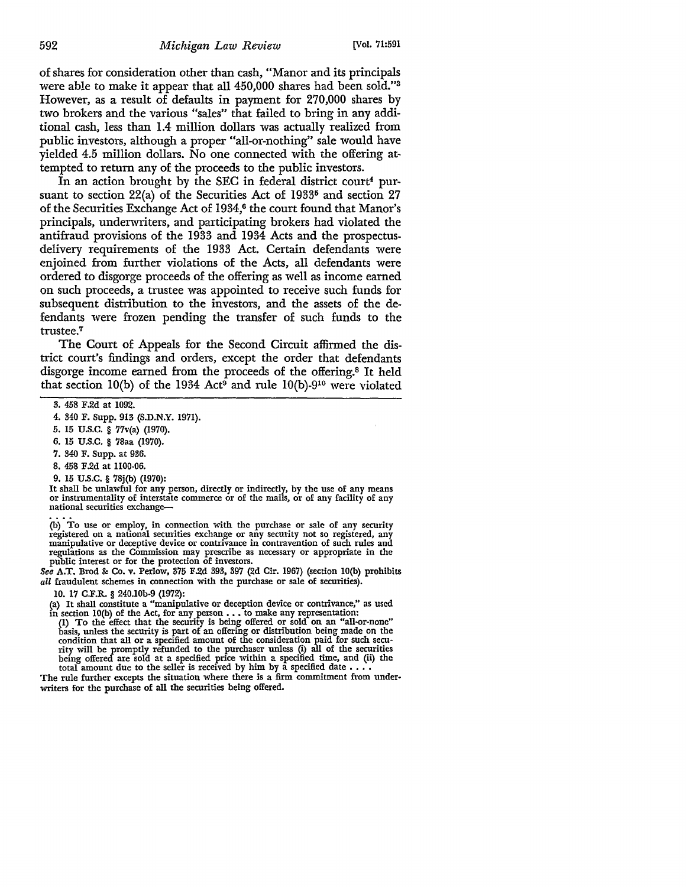of shares for consideration other than cash, "Manor and its principals were able to make it appear that all 450,000 shares had been sold."<sup>3</sup> However, as a result of defaults in payment for 270,000 shares by two brokers and the various "sales" that failed to bring in any additional cash, less than 1.4 million dollars was actually realized from public investors, although a proper "all-or-nothing" sale would have yielded 4.5 million dollars. No one connected with the offering attempted to return any of the proceeds to the public investors.

In an action brought by the SEC in federal district court<sup>4</sup> pursuant to section 22(a) of the Securities Act of 1933<sup>5</sup> and section 27 of the Securities Exchange Act of 1934,<sup>6</sup> the court found that Manor's principals, undenvriters, and participating brokers had violated the antifraud provisions of the 1933 and 1934 Acts and the prospectusdelivery requirements of the 1933 Act. Certain defendants were enjoined from further violations of the Acts, all defendants were ordered to disgorge proceeds of the offering as well as income earned on such proceeds, a trustee was appointed to receive such funds for subsequent distribution to the investors, and the assets of the defendants were frozen pending the transfer of such funds to the trustee.<sup>7</sup>

The Court of Appeals for the Second Circuit affirmed the district court's findings and orders, except the order that defendants disgorge income earned from the proceeds of the offering.8 It held that section 10(b) of the 1934 Act<sup>9</sup> and rule 10(b)-9<sup>10</sup> were violated

- 5. 15 U.S.C. § 77v(a) (1970).
- 6. 15 U.S.C. § 78aa (1970).
- 7. 340 F. Supp. at 936.
- 8. 458 F.2d at 1100-06.
- 

9. 15 U.S.C. § 78j(b) (1970):<br>It shall be unlawful for any person, directly or indirectly, by the use of any means or instrumentality of interstate commerce or of the mails, or of any facility of any national securities exchange-

(b) To use or employ, in connection with the purchase or sale of any security registered on a national securities exchange or any security not so registered, any manipulative or deceptive device or contrivance in contravention of such rules and regulations as the Commission may prescribe as necessary or appropriate in the public interest or for the protection of investors.

See A.T. Brod &: Co. v. Perlow, 375 F.2d 393, 397 (2d Cir. 1967) (section lO(b) prohibits *all* fraudulent schemes in connection with the purchase or sale of securities).

10. 17 C.F.R. § 240.l0b-9 (1972):

(a) It shall constitute a "manipulative or deception device or contrivance," as used<br>in section  $10(b)$  of the Act, for any person . . . to make any representation:<br>(1) To the effect that the security is being offered or s

basis, unless the security is part of an offering or distribution being made on the condition that all or a specified amount of the consideration paid for such security will be promptly refunded to the purchaser unless (i) being offered are sold at a specified price within a specified time, and (ii) the total amount due to the seller is received by him by a specified date . . . .

The rule further excepts the situation where there is a firm commitment from under• writers for the purchase of all the securities being offered.

<sup>3. 458</sup> F .2d at 1092.

<sup>4. 340</sup> F. Supp. 913 (S.D.N.Y. 1971).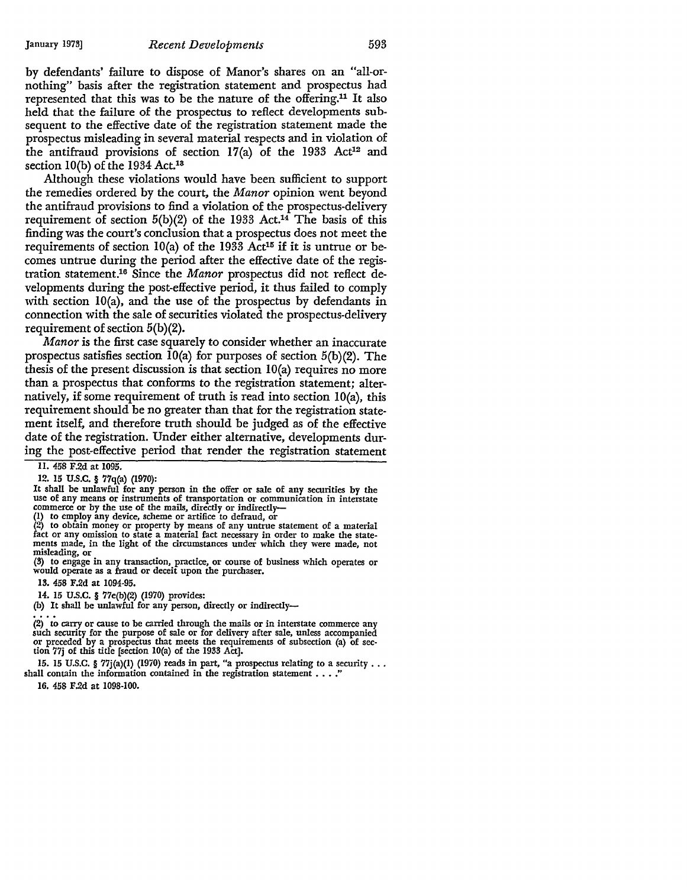by defendants' failure to dispose of Manor's shares on an "all-ornothing" basis after the registration statement and prospectus had represented that this was to be the nature of the offering.11 It also held that the failure of the prospectus to reflect developments subsequent to the effective date of the registration statement made the prospectus misleading in several material respects and in violation of the antifraud provisions of section  $17(a)$  of the 1933 Act<sup>12</sup> and section  $10(b)$  of the 1934 Act.<sup>13</sup>

Although these violations would have been sufficient to support the remedies ordered by the court, the *Manor* opinion went beyond the antifraud provisions to find a violation of the prospectus-delivery requirement of section  $5(b)(2)$  of the 1933 Act.<sup>14</sup> The basis of this finding was the court's conclusion that a prospectus does not meet the requirements of section  $10(a)$  of the 1933 Act<sup>15</sup> if it is untrue or becomes untrue during the period after the effective date of the registration statement.16 Since the *Manor* prospectus did not reflect developments during the post-effective period, it thus failed to comply with section IO(a), and the use of the prospectus by defendants in connection with the sale of securities violated the prospectus-delivery requirement of section 5(b)(2).

*Afanor* is the first case squarely to consider whether an inaccurate prospectus satisfies section  $10(a)$  for purposes of section  $5(b)(2)$ . The thesis of the present discussion is that section  $10(a)$  requires no more than a prospectus that conforms to the registration statement; alternatively, if some requirement of truth is read into section  $10(a)$ , this requirement should be no greater than that for the registration statement itself, and therefore truth should be judged as of the effective date of the registration. Under either alternative, developments during the post-effective period that render the registration statement

II. 458 F.2d at 1095.

12. 15 U.S.C. § 77q(a) (1970):

It shall be unlawful for any person in the offer or sale of any securities by the use of any means or instruments of transportation or communication in interstate commerce or by the use of the mails, directly or indirectl

fact or any omission to state a material fact necessary in order to make the statements made, in the light of the circumstances under which they were made, not

misleading, or (3) to engage in any transaction, practice, or course of business which operates or would operate as a fraud or deceit upon the purchaser.

13. 458 F.2d at 1094-95.

14. 15 U.S.C. § 77e(b)(2) (1970) provides:

(b) It shall be unlawful for any person, directly or indirectly-

(2) to carry or cause to be carried through the mails or in interstate commerce any such security for the purpose of sale or for delivery after sale, unless accompanied or preceded by a prospectus that meets the requirements of subsection (a) of sec- tion 77j of this title [section l0(a) of the 1933 Act].

15. 15 U.S.C. § 77j(a)(1) (1970) reads in part, "a prospectus relating to a security . . . shall contain the information contained in the registration statement  $\dots$ .

16. 458 F.2d at 1098-100.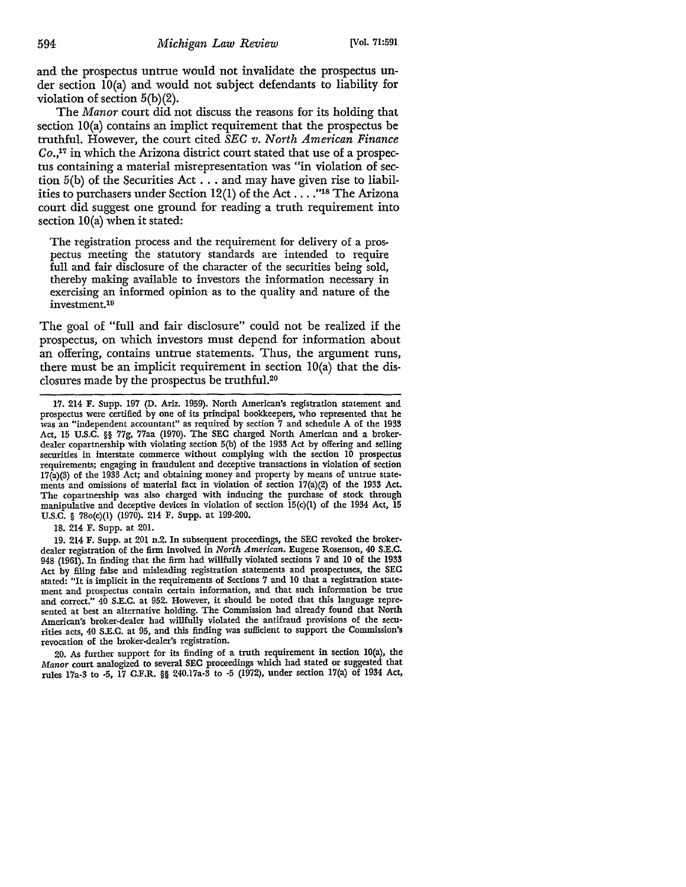and the prospectus untrue would not invalidate the prospectus **un**der section IO(a) and would not subject defendants to liability for violation of section 5(b)(2).

The *Manor* court did not discuss the reasons for its holding that section IO(a) contains an implict requirement that the prospectus be truthful. However, the court cited *SEC v. North American Finance*   $Co<sub>1</sub>$ <sup>17</sup> in which the Arizona district court stated that use of a prospectus containing a material misrepresentation was "in violation of section  $5(b)$  of the Securities Act . . . and may have given rise to liabilities to purchasers under Section 12(1) of the Act ...."<sup>18</sup> The Arizona court did suggest one ground for reading a truth requirement into section IO(a) when it stated:

The registration process and the requirement for delivery of a prospectus meeting the statutory standards are intended to require full and fair disclosure of the character of the securities being sold, thereby making available to investors the information necessary in exercising an informed opinion as to the quality and nature of the investment.19

The goal of "full and fair disclosure" could not be realized if the prospectus, on which investors must depend for information about an offering, contains untrue statements. Thus, the argument runs, there must be an implicit requirement in section  $10(a)$  that the disclosures made by the prospectus be truthful.20

18. 214 F. Supp. at 201.

19. 214 F. Supp. at 201 n.2. In subsequent proceedings, the SEC revoked the brokerdealer registration of the firm involved in *North American.* Eugene Rosenson, 40 S.E.C. 948 (1961). In finding that the firm had willfully violated sections 7 and 10 of the 1933 Act by filing false and misleading registration statements and prospectuses, the SEC stated: "It is implicit in the requirements of Sections 7 and 10 that a registration statement and prospectus contain certain information, and that such information be true and correct." 40 S.E.C. at 952. However, it should be noted that this language represented at best an alternative holding. The Commission had already found that North American's broker-dealer had willfully violated the antifraud provisions of the securities acts, 40 S.E.C. at 95, and this finding was sufficient to support the Commission's revocation of the broker-dealer's registration.

20. As further support for its finding of a truth requirement in section lO(a), the *Manor* court analogized to several SEC proceedings which had stated or suggested that rules 17a-3 to -5, 17 C.F.R. §§ 240.17a-3 to -5 (1972), under section 17(a) of 1934 Act,

<sup>17. 214</sup> F. Supp. 197 (D. Ariz. 1959). North American's registration statement and prospectus were certified by one of its principal bookkeepers, who represented that he was an "independent accountant" as required by section 7 and schedule A of the 1933 Act, 15 U.S.C. §§ 77g, 77aa (1970). The SEC charged North American and a broker• dealer copartnership with violating section 5(b) of the 1933 Act by offering and selling securities in interstate commerce without complying with the section 10 prospectus requirements; engaging in fraudulent and deceptive transactions in violation of section  $17(a)(3)$  of the 1933 Act; and obtaining money and property by means of untrue statements and omissions of material fact in violation of section 17(a)(2) of the 1933 Act. The copartnership was also charged with inducing the purchase of stock through manipulative and deceptive devices in violation of section 15(c)(l) of the 1934 Act, 15 U.S.C. § 78o(c)(l) (1970). 214 F. Supp. at 199-200.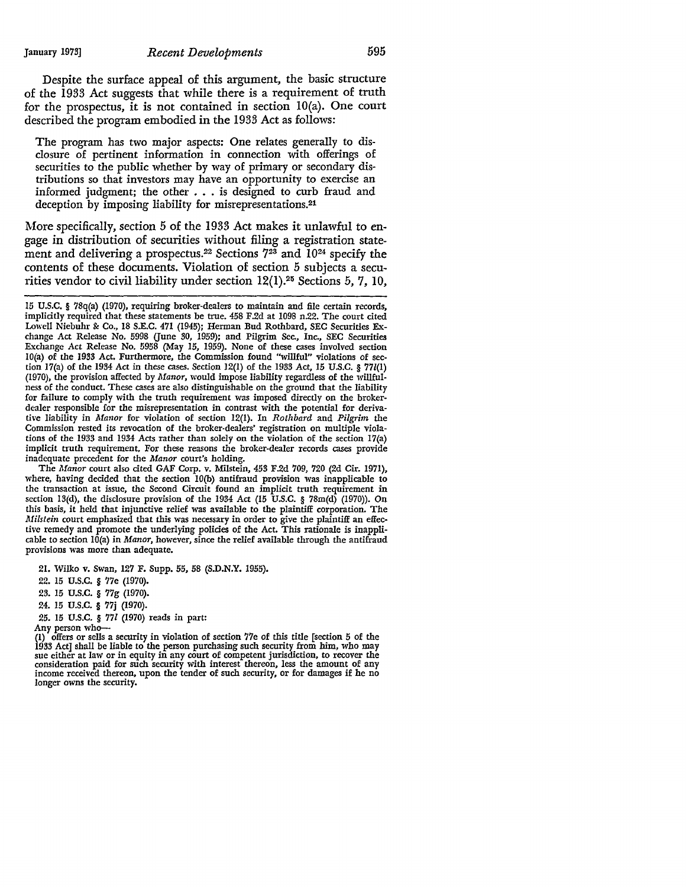Despite the surface appeal of this argument, the basic structure of the 1933 Act suggests that while there is a requirement of truth for the prospectus, it is not contained in section I0(a). One court described the program embodied in the 1933 Act as follows:

The program has two major aspects: One relates generally to disclosure of pertinent information in connection with offerings of securities to the public whether by way of primary or secondary distributions so that investors may have an opportunity to exercise an informed judgment; the other  $\ldots$  is designed to curb fraud and deception by imposing liability for misrepresentations.21

More specifically, section *5* of the 1933 Act makes it unlawful to engage in distribution of securities without filing a registration statement and delivering a prospectus.<sup>22</sup> Sections 7<sup>23</sup> and 10<sup>24</sup> specify the contents of these documents. Violation of section *5* subjects a securities vendor to civil liability under section 12(1).<sup>25</sup> Sections 5, 7, 10,

The *Manor* court also cited GAF Corp. v. Milstein, 453 F.2d 709, 720 (2d Cir. 1971), where, having decided that the section IO(b) antifraud provision was inapplicable to the transaction at issue, the Second Circuit found an implicit truth requirement in section 13(d), the disclosure provision of the 1934 Act (15 U.S.C. § 78m(d) (1970)). On this basis, it held that injunctive relief was available to the plaintiff corporation. The *Milstein* court emphasized that this was necessary in order to *give* the plaintiff an effective remedy and promote the underlying policies of the Act. This rationale is inapplicable to section IO(a) in *Manor,* however, since the relief available through the antifraud provisions was more than adequate.

21. Wilko v. Swan, 127 F. Supp. 55, 58 (S.D.N.Y. 1955).

22. 15 U.S.C. § 77e (1970).

23. 15 u.s.c. § 77g (1970).

24. 15 u.s.c. § 77j (1970).

25. 15 U.S.C. § 771 (1970) reads in part:

Any person who-

(1) offers or sells a security in violation of section 77e of this title [section 5 of the 1933 Act] shall be liable to the person purchasing such security from him, who may sue either at law or in equity in any court of competent jurisdiction, to recover the summary court of competent jurisdiction, to recover t consideration paid for such security with interest thereon, less the amount of any income received thereon, upon the tender of such security, or for damages if he no longer owns the security.

<sup>15</sup> U.S.C. § 78q(a) (1970), requiring broker-dealers to maintain and file certain records, implicitly required that these statements be true. 458 F.2d at 1098 n.22. The court cited Lowell Niebuhr & Co., 18 S.E.C. 471 (1945); Herman Bud Rothbard, SEC Securities Exchange Act Release No. 5998 (June 30, 1959); and Pilgrim Sec., Inc., SEC Securities Exchange Act Release No. 5958 (May 15, 1959). None of these cases involved section IO(a) of the 1933 Act. Furthermore, the Commission found "willful" violations of section  $17(a)$  of the 1934 Act in these cases. Section  $12(1)$  of the 1933 Act, 15 U.S.C. §  $771(1)$ (1970), the provision affected by *Manor,* would impose liability regardless of the willfulness of the conduct. These cases are also distinguishable on the ground that the liability for failure to comply with the truth requirement was imposed directly on the brokerdealer responsible for the misrepresentation in contrast with the potential for derivative liability in *Manor* for violation of section 12(1). In *Rothbard* and *Pilgrim* the Commission rested its revocation of the broker-dealers' registration on multiple violations of the 1933 and 1934 Acts rather than solely on the violation of the section 17(a) implicit truth requirement. For these reasons the broker-dealer records cases provide inadequate precedent for the *Manor* court's holding.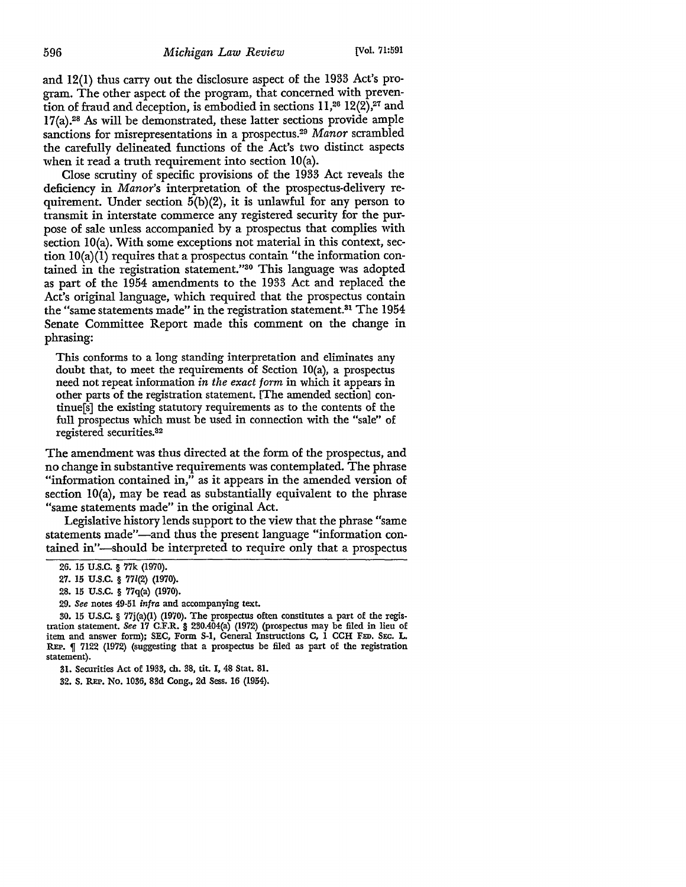and 12(1) thus carry out the disclosure aspect of the 1933 Act's program. The other aspect of the program, that concerned with prevention of fraud and deception, is embodied in sections  $11<sup>26</sup> 12(2)<sup>27</sup>$  and 17(a).28 As will be demonstrated, these latter sections provide ample sanctions for misrepresentations in a prospectus.29 *Manor* scrambled the carefully delineated functions of the Act's two distinct aspects when it read a truth requirement into section IO(a).

Close scrutiny of specific provisions of the 1933 Act reveals the deficiency in *Manor's* interpretation of the prospectus-delivery requirement. Under section 5(b)(2), it is unlawful for any person to transmit in interstate commerce any registered security for the purpose of sale unless accompanied by a prospectus that complies with section IO(a). With some exceptions not material in this context, section IO(a)(I) requires that a prospectus contain "the information contained in the registration statement."30 This language was adopted as part of the 1954 amendments to the 1933 Act and replaced the Act's original language, which required that the prospectus contain the "same statements made" in the registration statement.31 The 1954 Senate Committee Report made this comment on the change in phrasing:

This conforms to a long standing interpretation and eliminates any doubt that, to meet the requirements of Section IO(a), a prospectus need not repeat information *in the exact form* in which it appears in other parts of the registration statement. [The amended section] continue[s] the existing statutory requirements as to the contents of the full prospectus which must be used in connection with the "sale" of registered securities. 32

The amendment was thus directed at the form of the prospectus, and no change in substantive requirements was contemplated. The phrase "information contained in," as it appears in the amended version of section IO(a), may be read as substantially equivalent to the phrase "same statements made" in the original Act.

Legislative history lends support to the view that the phrase "same statements made"-and thus the present language "information contained in"-should be interpreted to require only that a prospectus

29. *See* notes 49-51 *infra* and accompanying text.

<sup>26. 15</sup> U.S.C. § 77k (1970).

<sup>27. 15</sup> U.S.C. § 77l(2) (1970).

<sup>28. 15</sup> U.S.C. § 77q(a) (1970).

<sup>30. 15</sup> U.S.C. § 77j(a)(l} (1970). The prospectus often constitutes a part of the registration statement. *See* 17 C.F.R. § 230.404(a) (1972) (prospectus may be filed in lieu of item and answer form); SEC, Form S-1, General Instructions C, 1 CCH FED. SEC. L. REP.  $\int$  7122 (1972) (suggesting that a prospectus be filed as part of the registration statement).

<sup>31.</sup> Securities Act of 1933, ch. 38, tit. I, 48 Stat. 81.

<sup>32.</sup> S. REP. No. 1036, 83d Cong., 2d Sess. 16 (1954).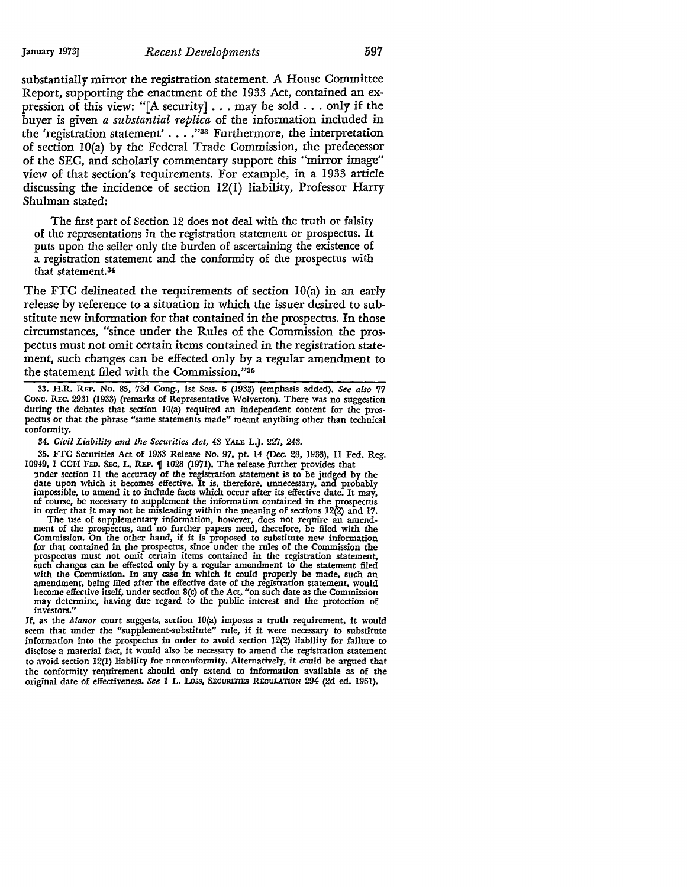#### January 1973] *Recent Developments* 597

substantially mirror the registration statement. A House Committee Report, supporting the enactment of the 1933 Act, contained an expression of this view: "[A security] ... may be sold ... only if the buyer is given *a substantial replica* of the information included in the 'registration statement'  $\ldots$ . "33 Furthermore, the interpretation of section IO(a) by the Federal Trade Commission, the predecessor of the SEC, and scholarly commentary support this "mirror image" view of that section's requirements. For example, in a 1933 article discussing the incidence of section 12(1) liability, Professor Harry Shulman stated:

The first part of Section 12 does not deal with the truth or falsity of the representations in the registration statement or prospectus. It puts upon the seller only the burden of ascertaining the existence of a registration statement and the conformity of the prospectus with that statement.34

The FTC delineated the requirements of section IO(a) in an early release by reference to a situation in which the issuer desired to substitute new information for that contained in the prospectus. In those circumstances, "since under the Rules of the Commission the prospectus must not omit certain items contained in the registration statement, such changes can be effected only by a regular amendment to the statement filed with the Commission."35

33. H.R. REP. No. 85, 73d Cong., 1st Sess. 6 (1933) (emphasis added). *See also* 77 CONG. REc. 2931 (1933) (remarks of Representative Wolverton). There was no suggestion during the debates that section 10(a) required an independent content for the prospectus or that the phrase "same statements made" meant anything other than technical conformity.

34. *Civil Liability and the Securities Act,* 43 YALE L.J. 227, 243.

35. FTC Securities Act of 1933 Release No. 97, pt. 14 (Dec. 28, 1933), 11 Fed. Reg. 10949, 1 CCH FED. SEC. L. REP. 1 1028 (1971). The release further provides that

'!lnder section 11 the accuracy of the registration statement is to be judged by the date upon which it becomes effective. It is, therefore, unnecessary, and probably impossible, to amend it to include facts which occur after its effective date. It may, of course, be necessary to supplement the information contained in the prospectus in order that it may not be misleading within the mea

The use of supplementary information, however, does not require an amendment of the prospectus, and no further papers need, therefore, be filed with the Commission. On the other hand, if it is proposed to substitute new information for that contained in the prospectus, since under the rules of the Commission the prospectus must not omit certain items contained in the registration statement, such changes can be effected only by a regular amendment to the statement filed<br>with the Commission. In any case in which it could properly be made, such an<br>amendment, being filed after the effective date of the registrati may determine, having due regard to the public interest and the protection of investors."

If, as the *Manor* court suggests, section 10(a) imposes a truth requirement, it would seem that under the "supplement-substitute" rule, if it were necessary to substitute information into the prospectus in order to avoid section 12(2) liability for failure to disclose a material fact, it would also be necessary to amend the registration statement to avoid section 12(1) liability for nonconformity. Alternatively, it could be argued that the conformity requirement should only extend to information available as of the original date of effectiveness. See 1 L. Loss, SECURITIES REGULATION 294 (2d ed. 1961).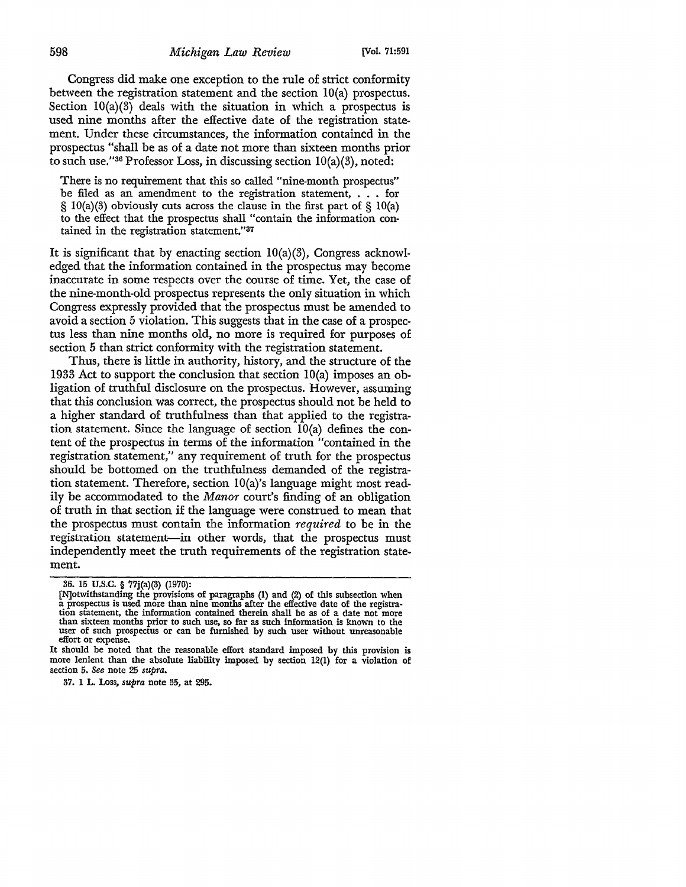Congress did make one exception to the rule of strict conformity between the registration statement and the section IO(a) prospectus. Section  $10(a)(3)$  deals with the situation in which a prospectus is used nine months after the effective date of the registration statement. Under these circumstances, the information contained in the prospectus "shall be as of a date not more than sixteen months prior to such use."36 Professor Loss, in discussing section  $10(a)(3)$ , noted:

There is no requirement that this so called "nine-month prospectus" be filed as an amendment to the registration statement, . . . for  $\S$  10(a)(3) obviously cuts across the clause in the first part of  $\S$  10(a) to the effect that the prospectus shall "contain the information contained in the registration statement."37

It is significant that by enacting section  $10(a)(3)$ , Congress acknowledged that the information contained in the prospectus may become inaccurate in some respects over the course of time. Yet, the case of the nine-month-old prospectus represents the only situation in which Congress expressly provided that the prospectus must be amended to avoid a section 5 violation. This suggests that in the case of a prospectus less than nine months old, no more is required for purposes of section 5 than strict conformity with the registration statement.

Thus, there is little in authority, history, and the structure of the 1933 Act to support the conclusion that section IO(a) imposes an obligation of truthful disclosure on the prospectus. However, assuming that this conclusion was correct, the prospectus should not be held to a higher standard of truthfulness than that applied to the registration statement. Since the language of section IO(a) defines the content of the prospectus in terms of the information "contained in the registration statement," any requirement of truth for the prospectus should be bottomed on the truthfulness demanded of the registration statement. Therefore, section lO(a)'s language might most readily be accommodated to the *Manor* court's finding of an obligation of truth in that section if the language were construed to mean that the prospectus must contain the information *required* to be in the registration statement-in other words, that the prospectus must independently meet the truth requirements of the registration statement.

37. 1 L. Loss, *supra* note 35, at 295.

<sup>36. 15</sup> **U.S.C.** § 77j(a)(3) (1970):

<sup>[</sup>N]otwithstanding the provisions of paragraphs (1) and (2) of this subsection when a prospectus is used more than nine months after the effective date of the registrathan sixteen months prior to such use, so far as such information is known to the user of such prospectus or can be furnished by such user without unreasonable effort or expense.

It should be noted that the reasonable effort standard imposed by this provision is more lenient than the absolute liability imposed by section 12(1) for a violation of section 5. *See* note 25 *supra.*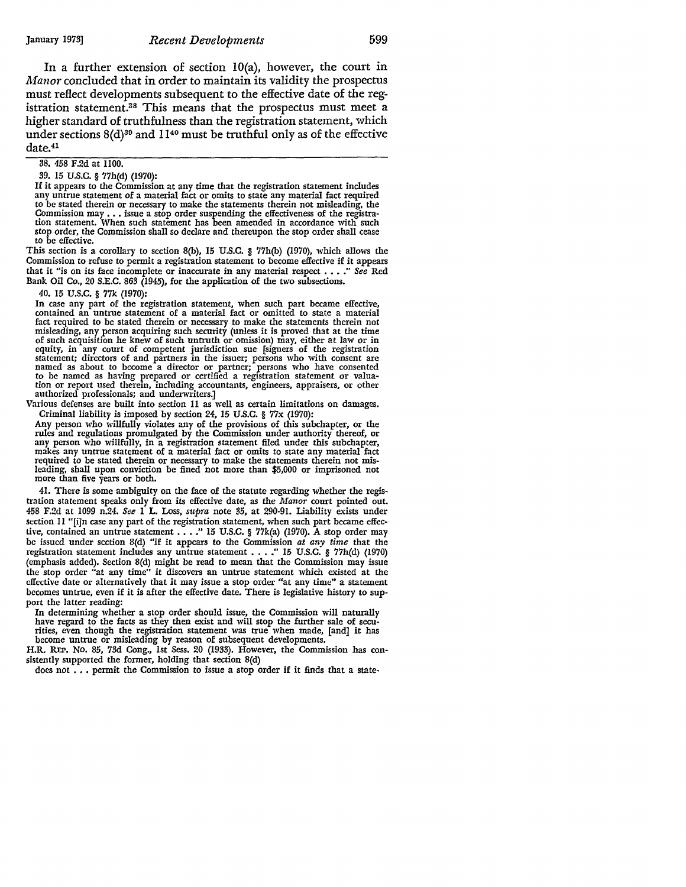In a further extension of section  $10(a)$ , however, the court in *Afanor* concluded that in order to maintain its validity the prospectus must reflect developments subsequent to the effective date of the registration statement.<sup>38</sup> This means that the prospectus must meet a higher standard of truthfulness than the registration statement, which under sections  $8(d)^{39}$  and  $11^{40}$  must be truthful only as of the effective date.<sup>41</sup>

#### 38. 458 F.2d at 1100.

39. 15 U.S.C. § 77h(d) (1970):

**If it** appears to the Commission at any time that the registration statement includes any untrue statement of a material fact or omits to state any material fact required to be stated therein or necessary to make the statements therein not misleading, the Commission may ••• issue a stop order suspending the effectiveness of the registra-tion statement. When such statement has been amended in accordance with such stop order, the Commission shall so declare and thereupon the stop order shall cease to be effective.

This section is a corollary to section S(b), 15 U.S.C. § 77h(b) (1970), which allows the Commission to refuse to permit a registration statement to become effective if it appears that it "is on its face incomplete or inaccurate in any material respect •••. " *See* Red Bank Oil Co., 20 S.E.C. 863 (1945), for the application of the two subsections.

40. 15 U.S.C. § 77k (1970):

In case any part of the registration statement, when such part became effective, contained an untrue statement of a material fact or omitted to state a material fact required to be stated therein or necessary to make the statements therein not misleading, any person acquiring such security (unless **it is** proved that at the time of such acquisition he knew of such untruth or omission) may, either at law or in equity, in any court of competent jurisdiction sue [signers of the registration statement; directors of and partners in the issuer; persons tion or report used therein, including accountants, engineers, appraisers, or other authorized professionals; and underwriters.]

Various defenses are built into section 11 as well as certain limitations on damages. Criminal liability is imposed by section 24, 15 U.S.C. § 77x (1970):

Any person who willfully violates any of the provisions of this subchapter, or the rules and regulations promulgated by the Commission under authority thereof, or anr person who wHlfully, in a registration statement filed under this subchapter, makes any untrue statement of a material fact or omits to state any material fact required to be stated therein or necessary to make the statements therein not misleading, shall upon conviction be fined not more than \$5,000 or imprisoned not more than five years or both.

41. There is some ambiguity on the face of the statute regarding whether the registration statement speaks only from its effective date, as the *Manor* court pointed out. 458 F.2d at 1099 n.24. *See* I L. Loss, *supra* note 35, at 290-91. Liability exists under section II "[i]n case any part of the registration statement, when such part became effective, contained an untrue statement  $\ldots$ ." 15 U.S.C. § 77k(a) (1970). A stop order may be issued under section 8(d) "if it appears to the Commission *at any time* that the registration statement includes any untrue statement . . . ." 15 U.S.C. § 77h(d) (1970) (emphasis added). Section 8(d) might be read to mean that the Commission may issue the stop order "at any time" it discovers an untrue statement which existed at the effective date or alternatively that it may issue a stop order "at any time" a statement becomes untrue, even if it is after the effective date. There is legislative history to sup• port the latter reading:

In determining whether a stop order should issue, the Commission will naturally have regard to the facts as they then exist and will stop the further sale of securities, even though the registration statement was true when made, [and] it has become untrue or misleading by reason of subsequent developments.

H.R. REP. No. 85, 73d Cong., 1st Sess. 20 (1933). However, the Commission has consistently supported the former, holding that section S(d)

does not ... permit the Commission to issue a stop order if it finds that a state-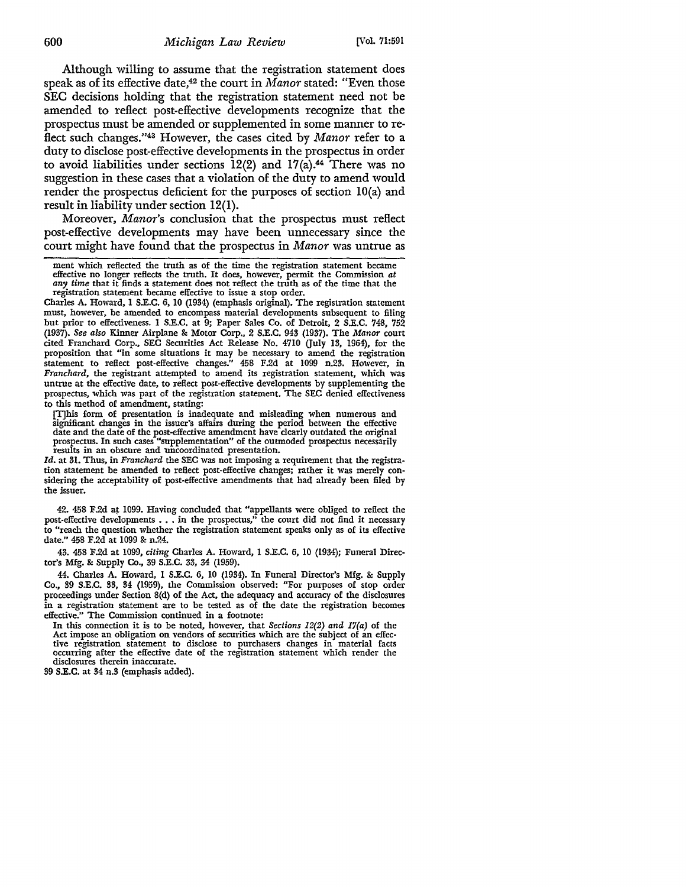Although willing to assume that the registration statement does speak as of its effective date,<sup>42</sup> the court in *Manor* stated: "Even those SEC decisions holding that the registration statement need not be amended to reflect post-effective developments recognize that the prospectus must be amended or supplemented in some manner to reflect such changes."43 However, the cases cited by *Manor* refer to a duty to disclose post-effective developments in the prospectus in order to avoid liabilities under sections  $12(2)$  and  $17(a)$ .<sup>44</sup> There was no suggestion in these cases that a violation of the duty to amend would render the prospectus deficient for the purposes of section IO(a) and result in liability under section 12(1).

Moreover, *Manor's* conclusion that the prospectus must reflect post-effective developments may have been unnecessary since the court might have found that the prospectus in *Manor* was untrue as

Charles A. Howard, I S.E.C. 6, IO (1934) (emphasis original). The registration statement must, however, be amended to encompass material developments subsequent to filing but prior to effectiveness. I S.E.C. at 9; Paper Sales Co. of Detroit, 2 S.E.C. 748, 752 (1937). *See also* Kinner Airplane *8c* Motor Corp., 2 S.E.C. 943 (1937). The *Manor* court cited Franchard Corp., SEC Securities Act Release No. 4710 Guly 13, 1964), for the proposition that "in some situations it may be necessary to amend the registration statement to reflect post-effective changes." 458 F.2d at 1099 n.23. However, in *Franchard,* the registrant attempted to amend its registration statement, which was untrue at the effective date, to reflect post-effective developments by supplementing the prospectus, which was part of the registration statement. The SEC denied effectiveness to this method of amendment, stating:

[T]his form of presentation is inadequate and misleading when numerous and significant changes in the issuer's affairs during the period between the effective date and the date of the post-effective amendment have clearly outdated the original prospectus. In such cases "supplementation" of the outmoded prospectus necessarily results in an obscure and uncoordinated presentation.

*Id.* at 31. Thus, in *Franchard* the SEC was not imposing a requirement that the registration statement be amended to reflect post-effective changes; rather it was merely considering the acceptability of post-effective amendments that had already been filed by the issuer.

42. 458 F.2d at 1099. Having concluded that "appellants were obliged to reflect the post-effective developments ••. in the prospectus," the court did not find it necessary to "reach the question whether the registration statement speaks only as of its effective date." 458 F.2d at 1099 *8c* n.24.

43. 458 F.2d at 1099, *citing* Charles A. Howard, **1** S.E.C. 6, IO (1934); Funeral Director's Mfg. *8c* Supply Co., 39 S.E.C. 33, 34 (1959).

44. Charles A. Howard, 1 S.E.C. 6, IO (1934). In Funeral Director's Mfg. 8: Supply Co., 39 S.E.C. 33, 34 (1959), the Commission observed: "For purposes of stop order proceedings under Section 8(d) of the Act, the adequacy and accuracy of the disclosures in a registration statement are to be tested as of the date the registration becomes effective." The Commission continued in a footnote:

In this connection it is to be noted, however, that *Sections 12(2) and 17(a)* of the Act impose an obligation on vendors of securities which are the subject of an effective registration statement to disclose to purchasers changes in material facts occurring after the effective date of the registration statement which render the disclosures therein inaccurate.

39 S.E.C. at 34 n.3 (emphasis added).

ment which reflected the truth as of the time the registration statement became effective no longer reflects the truth. It does, however, permit the Commission *at any time* that it finds a statement does not reflect the truth as of the time that the registration statement became effective to issue a stop order.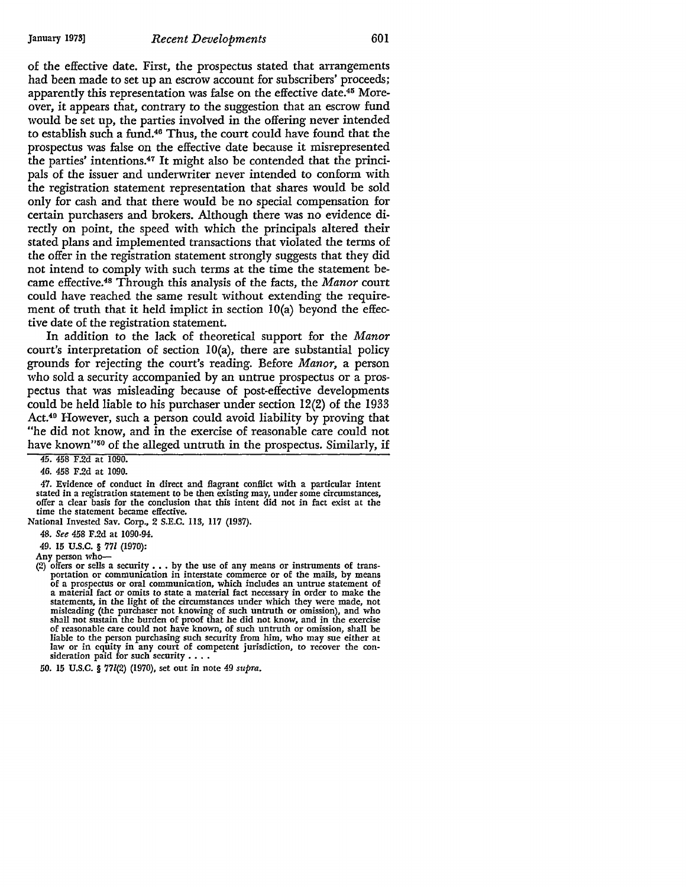of the effective date. First, the prospectus stated that arrangements had been made to set up an escrow account for subscribers' proceeds; apparently this representation was false on the effective date.45 Moreover, it appears that, contrary to the suggestion that an escrow fund would be set up, the parties involved in the offering never intended to establish such a fund.46 Thus, the court could have found that the prospectus was false on the effective date because it misrepresented the parties' intentions.47 It might also be contended that the principals of the issuer and underwriter never intended to conform with the registration statement representation that shares would be sold only for cash and that there would be no special compensation for certain purchasers and brokers. Although there was no evidence directly on point, the speed with which the principals altered their stated plans and implemented transactions that violated the terms of the offer in the registration statement strongly suggests that they did not intend to comply with such terms at the time the statement became effective.48 Through this analysis of the facts, the *Manor* court could have reached the same result without extending the requirement of truth that it held implict in section IO(a) beyond the effective date of the registration statement.

In addition to the lack of theoretical support for the *Manor*  court's interpretation of section IO(a), there are substantial policy grounds for rejecting the court's reading. Before *Manor,* a person who sold a security accompanied by an untrue prospectus or a prospectus that was misleading because of post-effective developments could be held liable to his purchaser under section 12(2) of the 1933 Act.40 However, such a person could avoid liability by proving that "he did not know, and in the exercise of reasonable care could not have known"<sup>50</sup> of the alleged untruth in the prospectus. Similarly, if

45. 458 F.2d at 1090.

46. 458 F.2d at 1090.

47. Evidence of conduct in direct and flagrant conflict with a particular intent stated in a registration statement to be then existing may, under some circumstances, offer a clear basis for the conclusion that this intent did not in fact exist at the time the statement became effective.

National Invested Sav. Corp., 2 S.E.C. ll3, II7 (1937).

48. See 458 F.2d at 1090-94.

49. 15 u.s.c. § 771 (1970):

Any person who-

<sup>(2)</sup> offers or sells a security  $\ldots$  by the use of any means or instruments of transportation or communication in interstate commerce or of the mails, by means<br>of a prospectus or oral communication, which includes an untrue statement of statements, in the light of the circumstances under which they were made, not misleading (the purchaser not knowing of such untruth or omission), and who shall not sustain the burden of proof that he did not know, and in t of reasonable care could not have known, of such untruth or omission, shall be liable to the person purchasing such security from him, who may sue either at law or in equity in any court of competent jurisdiction, to recover the consideration paid for such security  $\dots$ .

<sup>50. 15</sup> U.S.C. § 771(2) {1970), set out in note 49 *supra.*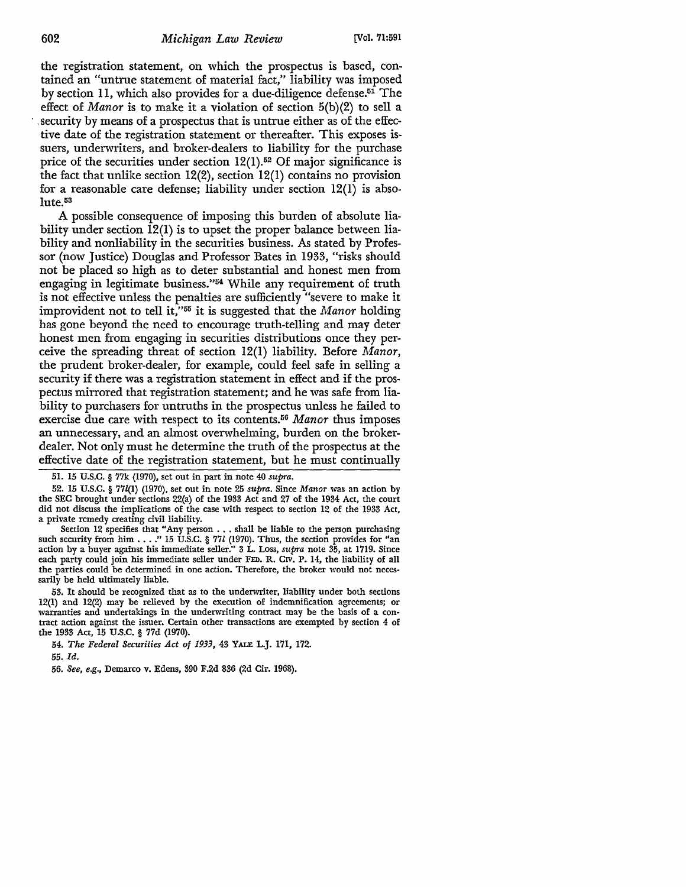the registration statement, on which the prospectus is based, contained an "untrue statement of material fact," liability was imposed by section 11, which also provides for a due-diligence defense.51 The effect of *Manor* is to make it a violation of section 5(b)(2) to sell a · , security by means of a prospectus that is untrue either as of the effective date of the registration statement or thereafter. This exposes issuers, underwriters, and broker-dealers to liability for the purchase price of the securities under section  $12(1)$ .<sup>52</sup> Of major significance is the fact that unlike section 12(2), section 12(1) contains no provision for a reasonable care defense; liability under section 12(1) is absolute.<sup>53</sup>

A possible consequence of imposing this burden of absolute liability under section  $\overline{12(1)}$  is to upset the proper balance between liability and nonliability in the securities business. As stated by Professor (now Justice) Douglas and Professor Bates in 1933, "risks should not be placed so high as to deter substantial and honest men from engaging in legitimate business."<sup>54</sup> While any requirement of truth is not effective unless the penalties are sufficiently "severe to make it improvident not to tell it,"55 it is suggested that the *Manor* holding has gone beyond the need to encourage truth-telling and may deter honest men from engaging in securities distributions once they perceive the spreading threat of section 12(1) liability. Before *Manor,*  the prudent broker-dealer, for example, could feel safe in selling a security if there was a registration statement in effect and if the prospectus mirrored that registration statement; and he was safe from liability to purchasers for untruths in the prospectus unless he failed to exercise due care with respect to its contents.56 *Manor* thus imposes an unnecessary, and an almost overwhelming, burden on the brokerdealer. Not only must he determine the truth of the prospectus at the effective date of the registration statement, but he must continually

51. 15 U.S.C. § 77k (1970), set out in part in note 40 *supra.* 

52. 15 U.S.C. § 77l(l) (1970), set out in note 25 *supra.* Since *Manor* was an action by the SEC brought under sections 22(a) of the 1933 Act and 27 of the 1934 Act, the court did not discuss the implications of the case with respect to section 12 of the 1933 Act, a private remedy creating civil liability.

Section 12 specifies that "Any person •.. shall be liable to the person purchasing such security from him  $\ldots$ ." 15 U.S.C.  $\S$  77l (1970). Thus, the section provides for "an action by a buyer against his immediate seller." 3 L. Loss, *supra* note 35, at 1719. Since each party could join his immediate seller under FED. R. CIV. P. 14, the liability of all the parties could be determined in one action. Therefore, the broker would not necessarily be held ultimately liable.

53. It should be recognized that as to the underwriter, liability under both sections 12(1) and 12(2) may be relieved by the execution of indemnification agreements; or warranties and undertakings in the undenmting contract may be the basis of a contract action against the issuer. Certain other transactions are exempted by section 4 of the 1933 Act, 15 U.S.C. § 77d (1970).

54. *The Federal Securities Act of 1933,* 43 YALE L.J. 171, 172.

55. *Id.* 

56. *See, e.g.,* Demarco v. Edens, 390 F.2d 836 (2d Cir. 1968).